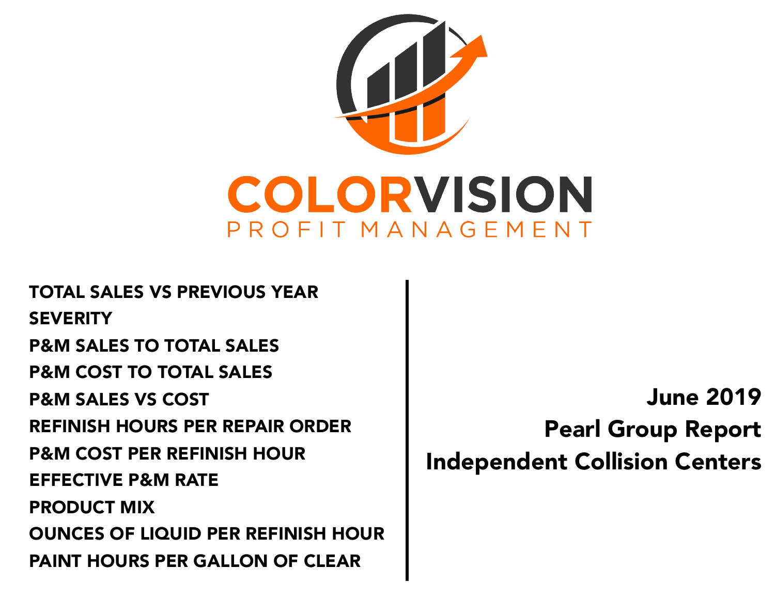

TOTAL SALES VS PREVIOUS YEAR **SEVERITY** P&M SALES TO TOTAL SALES P&M COST TO TOTAL SALES P&M SALES VS COST REFINISH HOURS PER REPAIR ORDER P&M COST PER REFINISH HOUR EFFECTIVE P&M RATE PRODUCT MIX OUNCES OF LIQUID PER REFINISH HOUR PAINT HOURS PER GALLON OF CLEAR

June 2019 Pearl Group Report Independent Collision Centers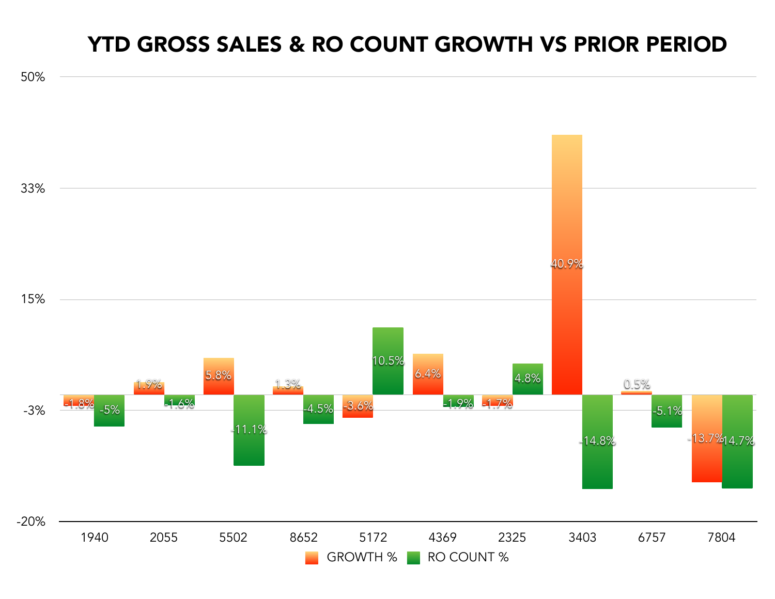### YTD GROSS SALES & RO COUNT GROWTH VS PRIOR PERIOD

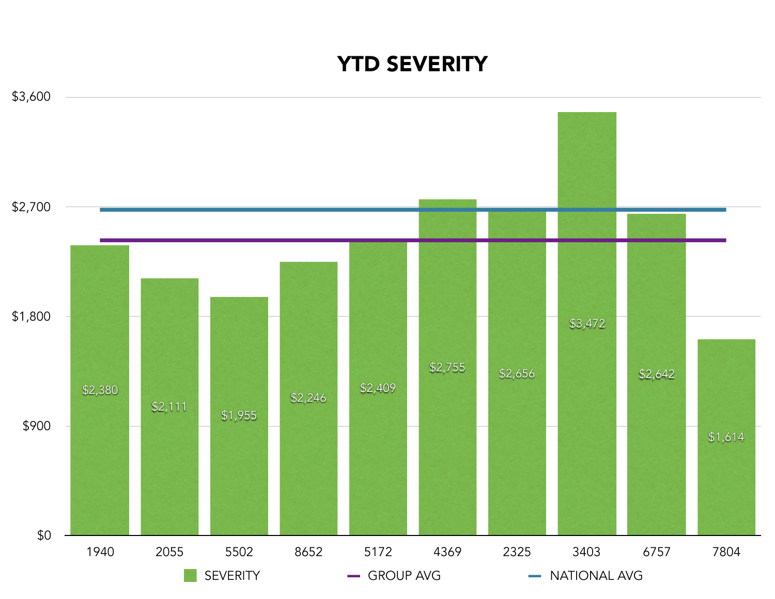# YTD SEVERITY

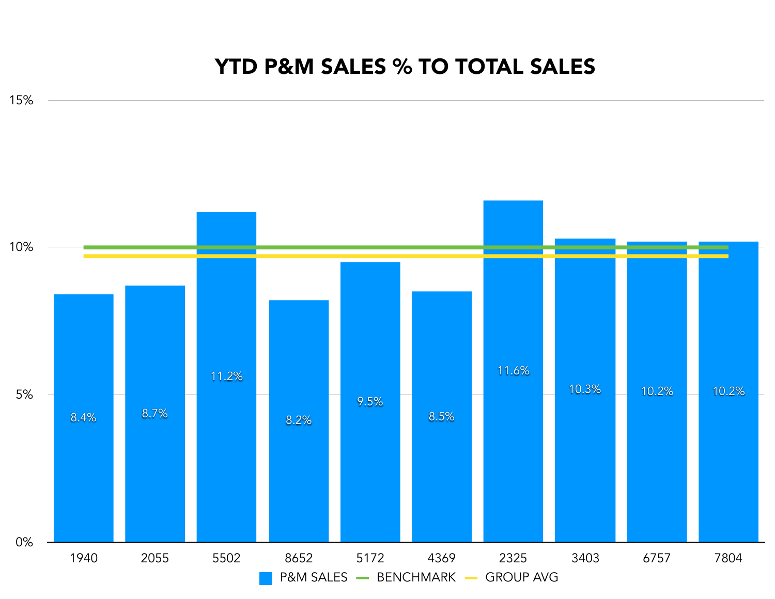#### YTD P&M SALES % TO TOTAL SALES

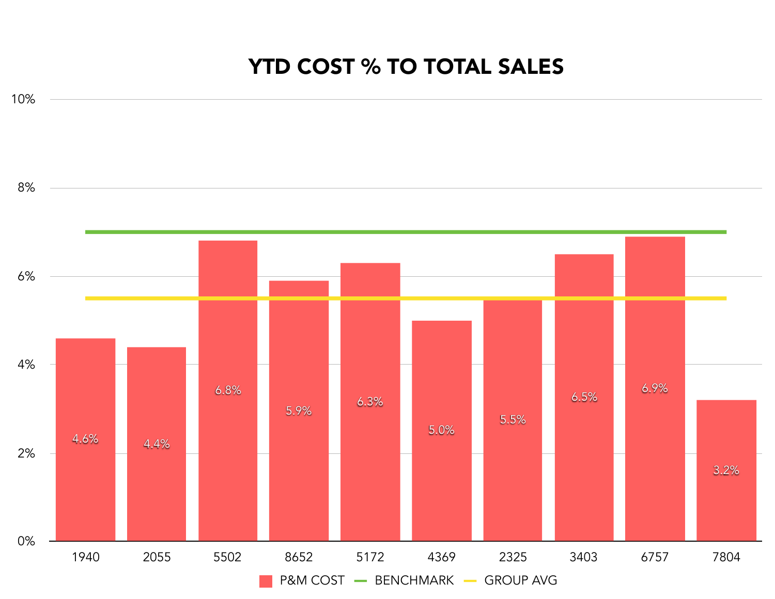#### YTD COST % TO TOTAL SALES

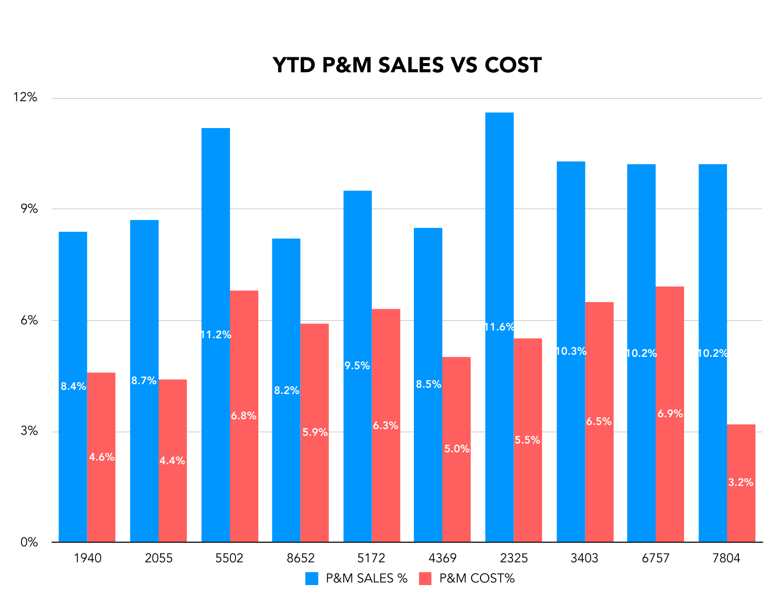### 0% 3% 6% 9% 12% 1940 2055 5502 8652 5172 4369 2325 3403 6757 7804 3.2% 6.9% 6.5% 5.5% 5.0%  $5.9\%$  6.3% 6.8% 4.6% 4.4% 10.3% 10.2% 10.2% 11.6% 8.5% 9.5% 8.2% 11.2% 8.4% 8.7% P&M SALES % P&M COST%

### YTD P&M SALES VS COST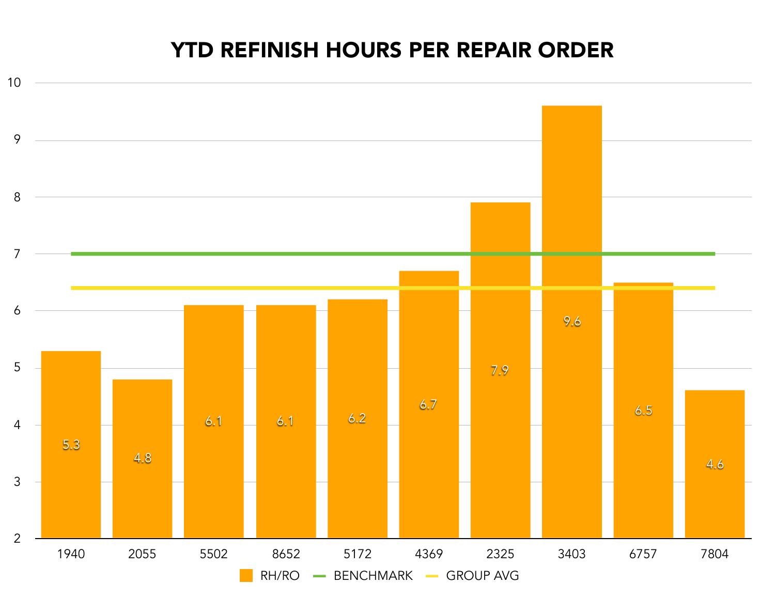### YTD REFINISH HOURS PER REPAIR ORDER

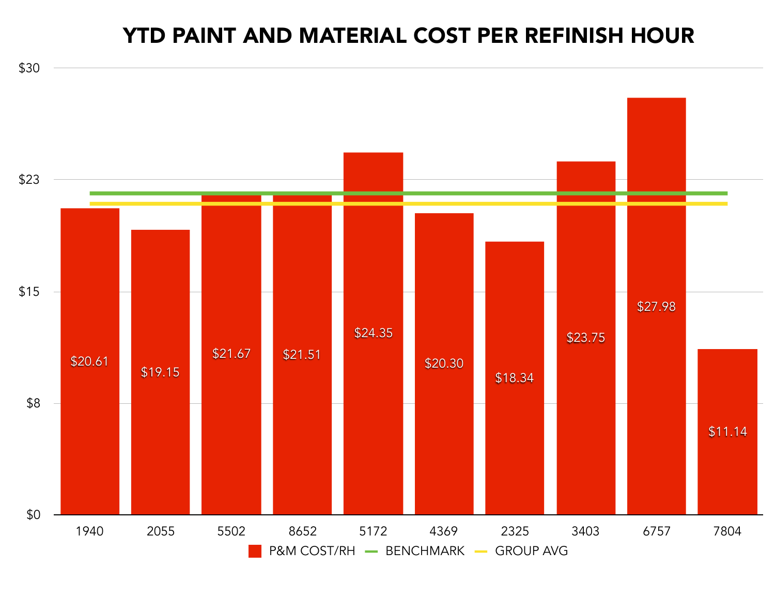#### YTD PAINT AND MATERIAL COST PER REFINISH HOUR

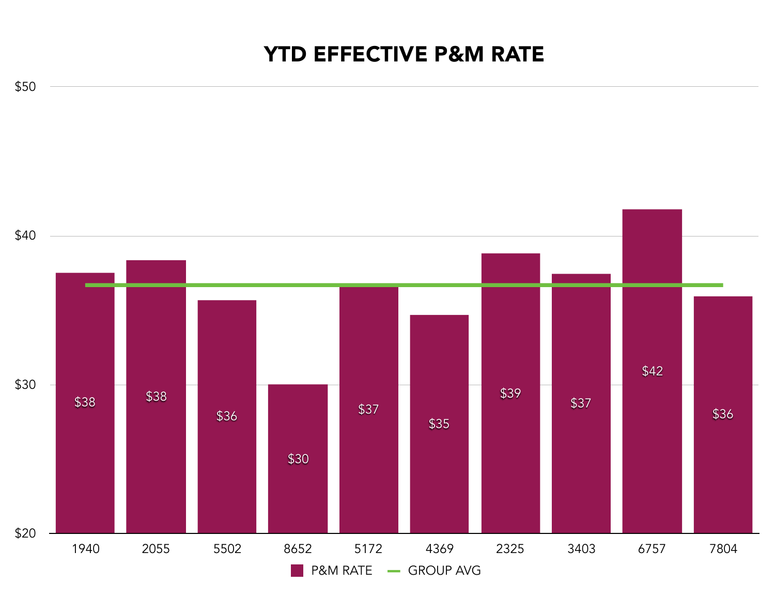## YTD EFFECTIVE P&M RATE

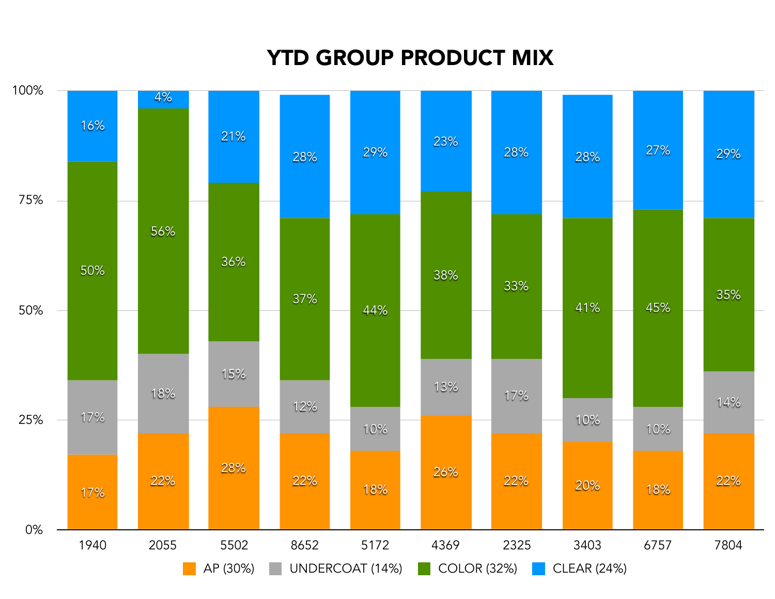# YTD GROUP PRODUCT MIX

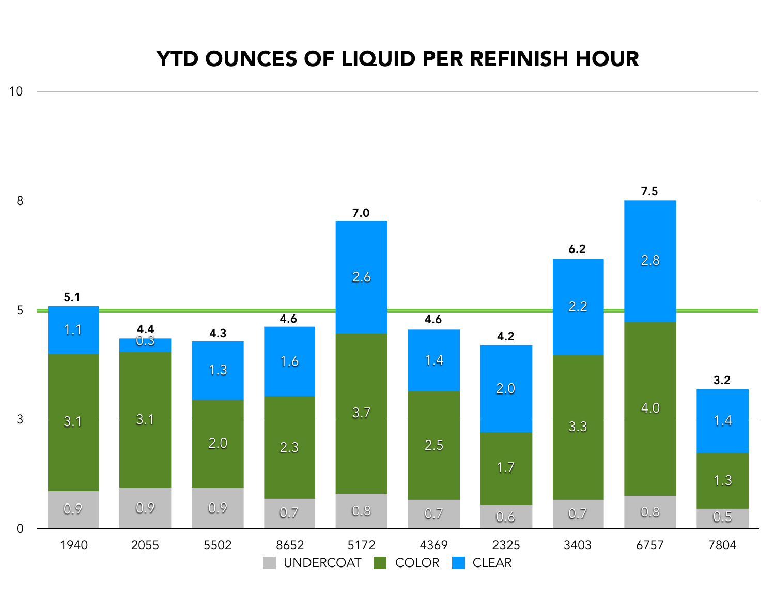## YTD OUNCES OF LIQUID PER REFINISH HOUR